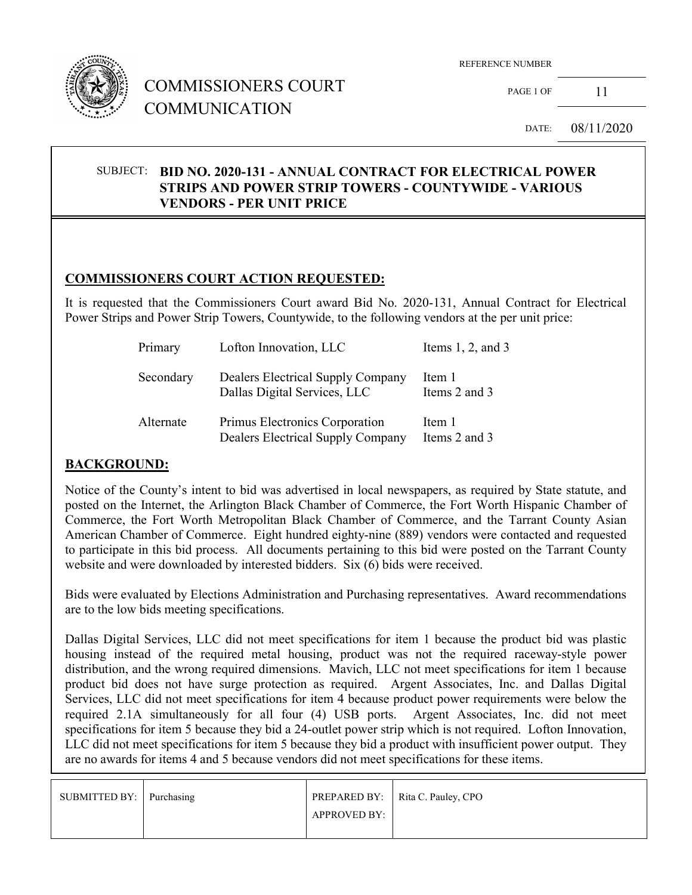

# COMMISSIONERS COURT COMMUNICATION

PAGE 1 OF 11

DATE: 08/11/2020

#### SUBJECT: **BID NO. 2020-131 - ANNUAL CONTRACT FOR ELECTRICAL POWER STRIPS AND POWER STRIP TOWERS - COUNTYWIDE - VARIOUS VENDORS - PER UNIT PRICE**

## **COMMISSIONERS COURT ACTION REQUESTED:**

It is requested that the Commissioners Court award Bid No. 2020-131, Annual Contract for Electrical Power Strips and Power Strip Towers, Countywide, to the following vendors at the per unit price:

| Primary   | Lofton Innovation, LLC                                              | Items $1, 2$ , and $3$  |
|-----------|---------------------------------------------------------------------|-------------------------|
| Secondary | Dealers Electrical Supply Company<br>Dallas Digital Services, LLC   | Item 1<br>Items 2 and 3 |
| Alternate | Primus Electronics Corporation<br>Dealers Electrical Supply Company | Item 1<br>Items 2 and 3 |

## **BACKGROUND:**

Notice of the County's intent to bid was advertised in local newspapers, as required by State statute, and posted on the Internet, the Arlington Black Chamber of Commerce, the Fort Worth Hispanic Chamber of Commerce, the Fort Worth Metropolitan Black Chamber of Commerce, and the Tarrant County Asian American Chamber of Commerce. Eight hundred eighty-nine (889) vendors were contacted and requested to participate in this bid process. All documents pertaining to this bid were posted on the Tarrant County website and were downloaded by interested bidders. Six (6) bids were received.

Bids were evaluated by Elections Administration and Purchasing representatives. Award recommendations are to the low bids meeting specifications.

Dallas Digital Services, LLC did not meet specifications for item 1 because the product bid was plastic housing instead of the required metal housing, product was not the required raceway-style power distribution, and the wrong required dimensions. Mavich, LLC not meet specifications for item 1 because product bid does not have surge protection as required. Argent Associates, Inc. and Dallas Digital Services, LLC did not meet specifications for item 4 because product power requirements were below the required 2.1A simultaneously for all four (4) USB ports. Argent Associates, Inc. did not meet specifications for item 5 because they bid a 24-outlet power strip which is not required. Lofton Innovation, LLC did not meet specifications for item 5 because they bid a product with insufficient power output. They are no awards for items 4 and 5 because vendors did not meet specifications for these items.

| SUBMITTED BY: Purchasing |              | PREPARED BY:   Rita C. Pauley, CPO |
|--------------------------|--------------|------------------------------------|
|                          | APPROVED BY: |                                    |